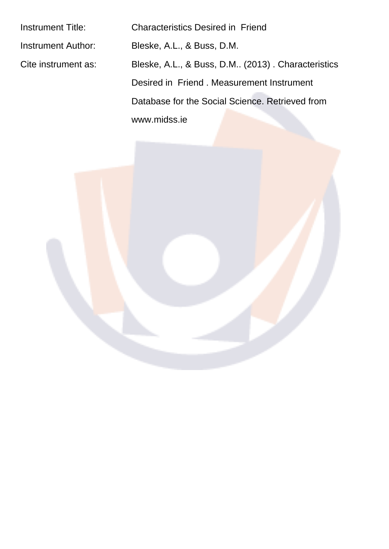Instrument Title: Characteristics Desired in Friend Instrument Author: Bleske, A.L., & Buss, D.M. Cite instrument as: Bleske, A.L., & Buss, D.M.. (2013). Characteristics Desired in Friend . Measurement Instrument Database for the Social Science. Retrieved from www.midss.ie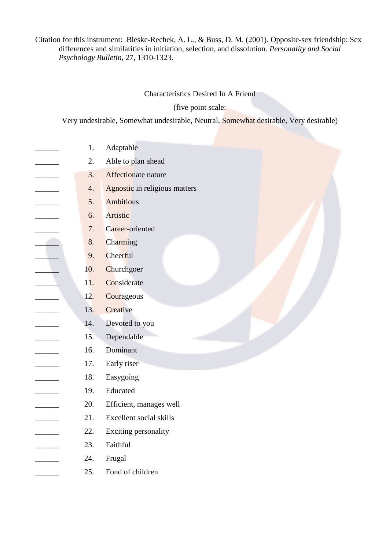## Citation for this instrument: Bleske-Rechek, A. L., & Buss, D. M. (2001). Opposite-sex friendship: Sex differences and similarities in initiation, selection, and dissolution. Personality and Social Psychology Bulletin, 27, 1310-1323.

Characteristics Desired In A Friend

(five point scale:

Very undesirable, Somewhat undesirable, Neutral, Somewhat desirable, Very desirable)

- $1.$ Adaptable  $\overline{2}$ . Able to plan ahead  $3.$ Affectionate nature  $\overline{4}$ . Agnostic in religious matters 5. **Ambitious** Artistic 6.  $7.$ Career-oriented  $\overline{\phantom{a}}$  $\overline{\phantom{a}}$ 8. **Charming** 9. Cheerful 10. Churchgoer 11. Considerate  $12.$ Courageous 13. Creative 14. Devoted to you 15. Dependable Dominant 16.  $\overline{\phantom{a}}$ 17. Early riser Easygoing 18. 19. Educated 20. Efficient, manages well 21. Excellent social skills 22. Exciting personality 23. Faithful
	- 24. Frugal
		- 25. Fond of children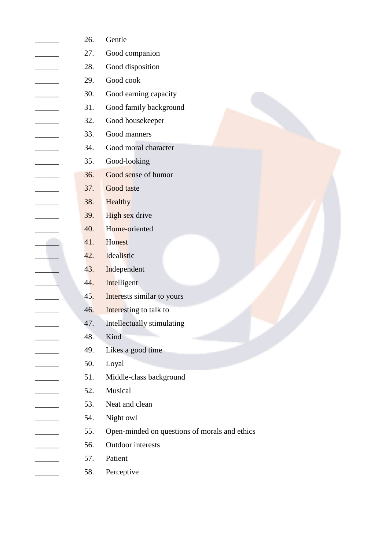| 26. | Gentle                                        |
|-----|-----------------------------------------------|
| 27. | Good companion                                |
| 28. | Good disposition                              |
| 29. | Good cook                                     |
| 30. | Good earning capacity                         |
| 31. | Good family background                        |
| 32. | Good housekeeper                              |
| 33. | Good manners                                  |
| 34. | Good moral character                          |
| 35. | Good-looking                                  |
| 36. | Good sense of humor                           |
| 37. | Good taste                                    |
| 38. | Healthy                                       |
| 39. | High sex drive                                |
| 40. | Home-oriented                                 |
| 41. | Honest                                        |
| 42. | Idealistic                                    |
| 43. | Independent                                   |
| 44. | Intelligent                                   |
| 45. | Interests similar to yours                    |
| 46. | Interesting to talk to                        |
| 47. | Intellectually stimulating                    |
| 48. | Kind                                          |
| 49. | Likes a good time                             |
| 50. | Loyal                                         |
| 51. | Middle-class background                       |
| 52. | Musical                                       |
| 53. | Neat and clean                                |
| 54. | Night owl                                     |
| 55. | Open-minded on questions of morals and ethics |
| 56. | Outdoor interests                             |
| 57. | Patient                                       |
|     |                                               |

Perceptive 58.